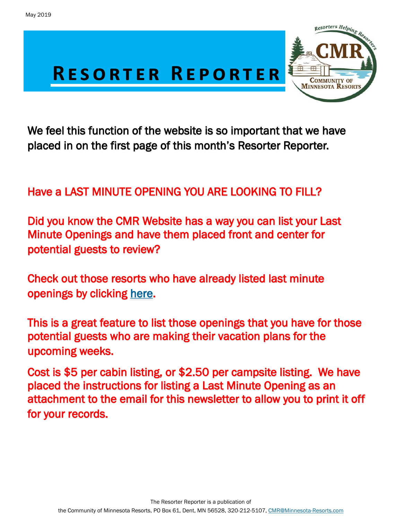

 We feel this function of the website is so important that we have placed in on the first page of this month's Resorter Reporter.

## Have a LAST MINUTE OPENING YOU ARE LOOKING TO FILL?

Did you know the CMR Website has a way you can list your Last Minute Openings and have them placed front and center for potential guests to review?

Check out those resorts who have already listed last minute openings by clicking [here.](http://minnesota-resorts.com/last-minute-openings/)

This is a great feature to list those openings that you have for those potential guests who are making their vacation plans for the upcoming weeks.

Cost is \$5 per cabin listing, or \$2.50 per campsite listing. We have placed the instructions for listing a Last Minute Opening as an attachment to the email for this newsletter to allow you to print it off for your records.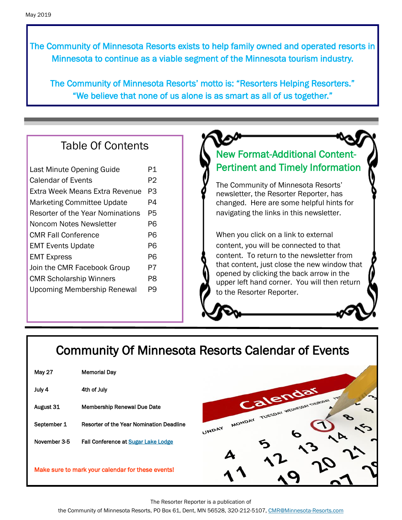The Community of Minnesota Resorts exists to help family owned and operated resorts in Minnesota to continue as a viable segment of the Minnesota tourism industry.

The Community of Minnesota Resorts' motto is: "Resorters Helping Resorters." "We believe that none of us alone is as smart as all of us together."

## Table Of Contents

| Last Minute Opening Guide          |    |
|------------------------------------|----|
| Calendar of Events                 | P2 |
| Extra Week Means Extra Revenue     | PЗ |
| <b>Marketing Committee Update</b>  | P4 |
| Resorter of the Year Nominations   | P5 |
| Noncom Notes Newsletter            | Р6 |
| <b>CMR Fall Conference</b>         |    |
| <b>EMT Events Update</b>           |    |
| <b>EMT Express</b>                 |    |
| Join the CMR Facebook Group        | P7 |
| <b>CMR Scholarship Winners</b>     |    |
| <b>Upcoming Membership Renewal</b> | P9 |
|                                    |    |

## New Format-Additional Content-Pertinent and Timely Information

The Community of Minnesota Resorts' newsletter, the Resorter Reporter, has changed. Here are some helpful hints for navigating the links in this newsletter.

When you click on a link to external content, you will be connected to that content. To return to the newsletter from that content, just close the new window that opened by clicking the back arrow in the upper left hand corner. You will then return to the Resorter Reporter.

## Community Of Minnesota Resorts Calendar of Events

| <b>May 27</b>                                     | <b>Memorial Day</b>                             |  |  |
|---------------------------------------------------|-------------------------------------------------|--|--|
| July 4                                            | 4th of July                                     |  |  |
| August 31                                         | <b>Membership Renewal Due Date</b>              |  |  |
| September 1                                       | <b>Resorter of the Year Nomination Deadline</b> |  |  |
| November 3-5                                      | Fall Conference at Sugar Lake Lodge             |  |  |
|                                                   |                                                 |  |  |
| Make sure to mark your calendar for these events! |                                                 |  |  |



The Resorter Reporter is a publication of

the Community of Minnesota Resorts, PO Box 61, Dent, MN 56528, 320-212-5107, [CMR@Minnesota-Resorts.com](mailto:CMR@Minnesota-Resorts.com?subject=Community%20of%20Minnesota%20Resorts)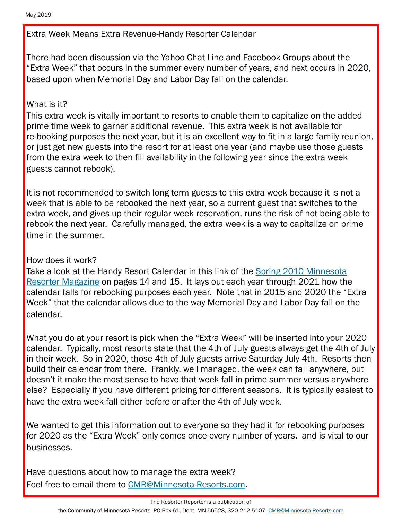Extra Week Means Extra Revenue-Handy Resorter Calendar

There had been discussion via the Yahoo Chat Line and Facebook Groups about the "Extra Week" that occurs in the summer every number of years, and next occurs in 2020, based upon when Memorial Day and Labor Day fall on the calendar.

### What is it?

This extra week is vitally important to resorts to enable them to capitalize on the added prime time week to garner additional revenue. This extra week is not available for re-booking purposes the next year, but it is an excellent way to fit in a large family reunion, or just get new guests into the resort for at least one year (and maybe use those guests from the extra week to then fill availability in the following year since the extra week guests cannot rebook).

It is not recommended to switch long term guests to this extra week because it is not a week that is able to be rebooked the next year, so a current guest that switches to the extra week, and gives up their regular week reservation, runs the risk of not being able to rebook the next year. Carefully managed, the extra week is a way to capitalize on prime time in the summer.

### How does it work?

Take a look at the Handy Resort Calendar in this link of the [Spring 2010 Minnesota](https://minnesota-resorts.com/wp-content/uploads/resorters/Vol%2026%20No%202%20-%20Spring%202010%20Interactive/FLASH/index.html?page=14)  [Resorter Magazine](https://minnesota-resorts.com/wp-content/uploads/resorters/Vol%2026%20No%202%20-%20Spring%202010%20Interactive/FLASH/index.html?page=14) on pages 14 and 15. It lays out each year through 2021 how the calendar falls for rebooking purposes each year. Note that in 2015 and 2020 the "Extra Week" that the calendar allows due to the way Memorial Day and Labor Day fall on the calendar.

What you do at your resort is pick when the "Extra Week" will be inserted into your 2020 calendar. Typically, most resorts state that the 4th of July guests always get the 4th of July in their week. So in 2020, those 4th of July guests arrive Saturday July 4th. Resorts then build their calendar from there. Frankly, well managed, the week can fall anywhere, but doesn't it make the most sense to have that week fall in prime summer versus anywhere else? Especially if you have different pricing for different seasons. It is typically easiest to have the extra week fall either before or after the 4th of July week.

We wanted to get this information out to everyone so they had it for rebooking purposes for 2020 as the "Extra Week" only comes once every number of years, and is vital to our businesses.

Have questions about how to manage the extra week? Feel free to email them to [CMR@Minnesota-Resorts.com.](mailto:CMR@Minnesota-Resorts.com?subject=Extra%20Week)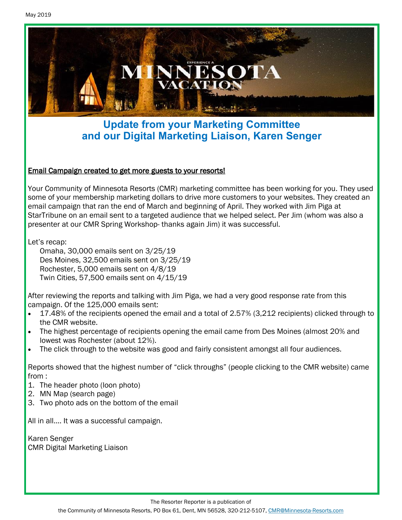

## **Update from your Marketing Committee and our Digital Marketing Liaison, Karen Senger**

### Email Campaign created to get more guests to your resorts!

Your Community of Minnesota Resorts (CMR) marketing committee has been working for you. They used some of your membership marketing dollars to drive more customers to your websites. They created an email campaign that ran the end of March and beginning of April. They worked with Jim Piga at StarTribune on an email sent to a targeted audience that we helped select. Per Jim (whom was also a presenter at our CMR Spring Workshop- thanks again Jim) it was successful.

Let's recap:

Omaha, 30,000 emails sent on 3/25/19 Des Moines, 32,500 emails sent on 3/25/19 Rochester, 5,000 emails sent on 4/8/19 Twin Cities, 57,500 emails sent on 4/15/19

After reviewing the reports and talking with Jim Piga, we had a very good response rate from this campaign. Of the 125,000 emails sent:

- 17.48% of the recipients opened the email and a total of 2.57% (3,212 recipients) clicked through to the CMR website.
- The highest percentage of recipients opening the email came from Des Moines (almost 20% and lowest was Rochester (about 12%).
- The click through to the website was good and fairly consistent amongst all four audiences.

Reports showed that the highest number of "click throughs" (people clicking to the CMR website) came from :

- 1. The header photo (loon photo)
- 2. MN Map (search page)
- 3. Two photo ads on the bottom of the email

All in all…. It was a successful campaign.

Karen Senger CMR Digital Marketing Liaison

The Resorter Reporter is a publication of

the Community of Minnesota Resorts, PO Box 61, Dent, MN 56528, 320-212-5107, [CMR@Minnesota-Resorts.com](mailto:CMR@Minnesota-Resorts.com?subject=Community%20of%20Minnesota%20Resorts)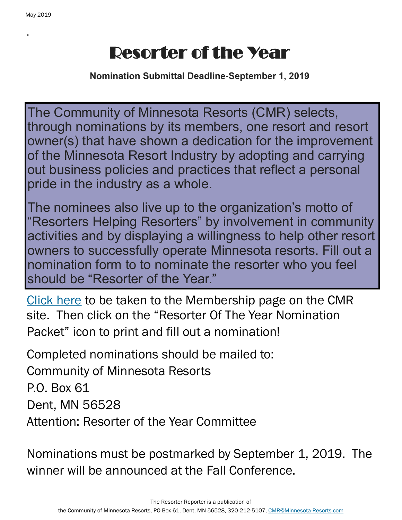.

# Resorter of the Year

**Nomination Submittal Deadline-September 1, 2019**

The Community of Minnesota Resorts (CMR) selects, through nominations by its members, one resort and resort owner(s) that have shown a dedication for the improvement of the Minnesota Resort Industry by adopting and carrying out business policies and practices that reflect a personal pride in the industry as a whole.

The nominees also live up to the organization's motto of "Resorters Helping Resorters" by involvement in community activities and by displaying a willingness to help other resort owners to successfully operate Minnesota resorts. Fill out a nomination form to to nominate the resorter who you feel should be "Resorter of the Year."

[Click here](https://minnesota-resorts.com/membership/) to be taken to the Membership page on the CMR site. Then click on the "Resorter Of The Year Nomination Packet" icon to print and fill out a nomination!

Completed nominations should be mailed to: Community of Minnesota Resorts P.O. Box 61 Dent, MN 56528 Attention: Resorter of the Year Committee

Nominations must be postmarked by September 1, 2019. The winner will be announced at the Fall Conference.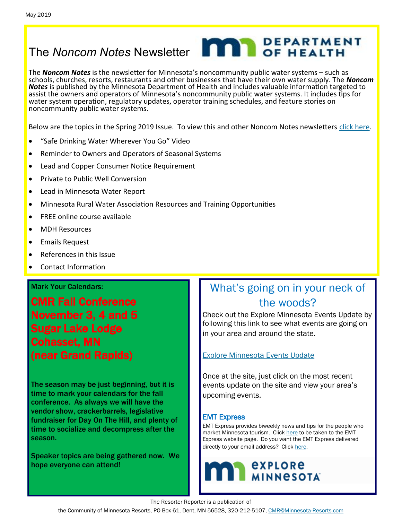# The *Noncom Notes* Newsletter **No. 1989 DEPARTMENT**

The *Noncom Notes* is the newsletter for Minnesota's noncommunity public water systems – such as schools, churches, resorts, restaurants and other businesses that have their own water supply. The *Noncom Notes* is published by the Minnesota Department of Health and includes valuable information targeted to assist the owners and operators of Minnesota's noncommunity public water systems. It includes tips for water system operation, regulatory updates, operator training schedules, and feature stories on noncommunity public water systems.

Below are the topics in the Spring 2019 Issue. To view this and other Noncom Notes newsletters [click here.](https://www.health.state.mn.us/communities/environment/water/noncom/notes.html)

- "Safe Drinking Water Wherever You Go" Video
- Reminder to Owners and Operators of Seasonal Systems
- Lead and Copper Consumer Notice Requirement
- Private to Public Well Conversion
- Lead in Minnesota Water Report
- Minnesota Rural Water Association Resources and Training Opportunities
- FREE online course available
- MDH Resources
- Emails Request
- References in this Issue
- Contact Information

#### Mark Your Calendars:

CMR Fall Conference November 3, 4 and 5 Sugar Lake Lodge Cohasset, MN (near Grand Rapids)

The season may be just beginning, but it is time to mark your calendars for the fall conference. As always we will have the vendor show, crackerbarrels, legislative fundraiser for Day On The Hill, and plenty of time to socialize and decompress after the season.

Speaker topics are being gathered now. We hope everyone can attend!

## What's going on in your neck of the woods?

Check out the Explore Minnesota Events Update by following this link to see what events are going on in your area and around the state.

[Explore Minnesota Events Update](http://www.exploreminnesota.com/newsletter-sign-up/reports/events-report/)

Once at the site, just click on the most recent events update on the site and view your area's upcoming events.

#### EMT Express

EMT Express provides biweekly news and tips for the people who market Minnesota tourism. Click [here](https://mn.gov/tourism-industry/resources/emt-express/emt-express-past-editions.jsp) to be taken to the EMT Express website page. Do you want the EMT Express delivered directly to your email address? Click [here.](https://mn.gov/tourism-industry/)



The Resorter Reporter is a publication of

the Community of Minnesota Resorts, PO Box 61, Dent, MN 56528, 320-212-5107, [CMR@Minnesota-Resorts.com](mailto:CMR@Minnesota-Resorts.com?subject=Community%20of%20Minnesota%20Resorts)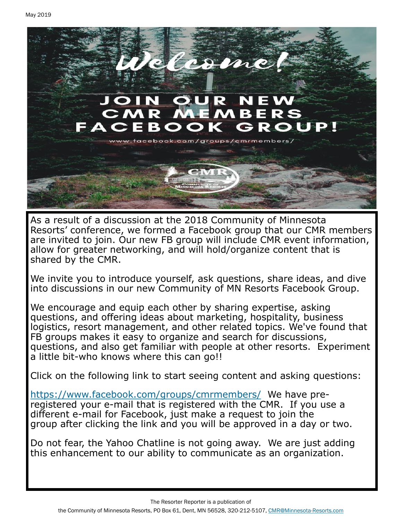

As a result of a discussion at the 2018 Community of Minnesota Resorts' conference, we formed a Facebook group that our CMR members are invited to join. Our new FB group will include CMR event information, allow for greater networking, and will hold/organize content that is shared by the CMR.

We invite you to introduce yourself, ask questions, share ideas, and dive into discussions in our new Community of MN Resorts Facebook Group.

We encourage and equip each other by sharing expertise, asking questions, and offering ideas about marketing, hospitality, business logistics, resort management, and other related topics. We've found that FB groups makes it easy to organize and search for discussions, questions, and also get familiar with people at other resorts. Experiment a little bit-who knows where this can go!!

Click on the following link to start seeing content and asking questions:

<https://www.facebook.com/groups/cmrmembers/> We have preregistered your e-mail that is registered with the CMR. If you use a different e-mail for Facebook, just make a request to join the group after clicking the link and you will be approved in a day or two.

Do not fear, the Yahoo Chatline is not going away. We are just adding this enhancement to our ability to communicate as an organization.

The Resorter Reporter is a publication of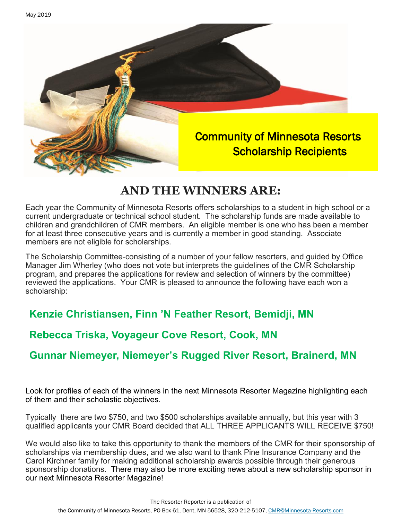

## **AND THE WINNERS ARE:**

Each year the Community of Minnesota Resorts offers scholarships to a student in high school or a current undergraduate or technical school student. The scholarship funds are made available to children and grandchildren of CMR members. An eligible member is one who has been a member for at least three consecutive years and is currently a member in good standing. Associate members are not eligible for scholarships.

The Scholarship Committee-consisting of a number of your fellow resorters, and guided by Office Manager Jim Wherley (who does not vote but interprets the guidelines of the CMR Scholarship program, and prepares the applications for review and selection of winners by the committee) reviewed the applications. Your CMR is pleased to announce the following have each won a scholarship:

## **Kenzie Christiansen, Finn 'N Feather Resort, Bemidji, MN**

## **Rebecca Triska, Voyageur Cove Resort, Cook, MN**

## **Gunnar Niemeyer, Niemeyer's Rugged River Resort, Brainerd, MN**

Look for profiles of each of the winners in the next Minnesota Resorter Magazine highlighting each of them and their scholastic objectives.

Typically there are two \$750, and two \$500 scholarships available annually, but this year with 3 qualified applicants your CMR Board decided that ALL THREE APPLICANTS WILL RECEIVE \$750!

We would also like to take this opportunity to thank the members of the CMR for their sponsorship of scholarships via membership dues, and we also want to thank Pine Insurance Company and the Carol Kirchner family for making additional scholarship awards possible through their generous sponsorship donations. There may also be more exciting news about a new scholarship sponsor in our next Minnesota Resorter Magazine!